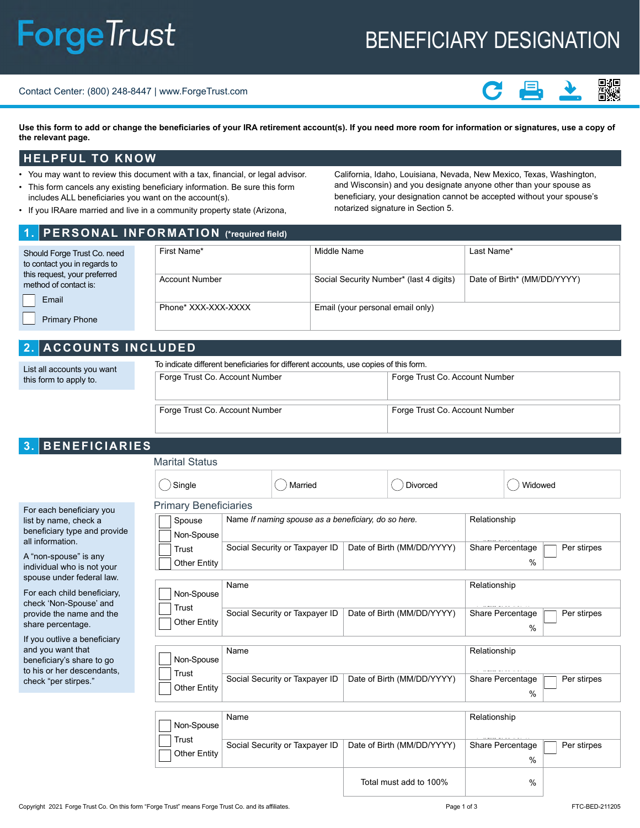# **ForgeTrust**

# BENEFICIARY DESIGNATION

Contact Center: (800) 248-8447 | www.ForgeTrust.com



Use this form to add or change the beneficiaries of your IRA retirement account(s). If you need more room for information or signatures, use a copy of **the relevant page.** 

#### **HELPFUL TO KNOW**

- You may want to review this document with a tax, financial, or legal advisor.
- This form cancels any existing beneficiary information. Be sure this form includes ALL beneficiaries you want on the account(s).
- If you IRAare married and live in a community property state (Arizona,

California, Idaho, Louisiana, Nevada, New Mexico, Texas, Washington, and Wisconsin) and you designate anyone other than your spouse as beneficiary, your designation cannot be accepted without your spouse's notarized signature in Section 5.

## **1. PERSONAL INFORMATION (\*required field)**

| Should Forge Trust Co. need<br>to contact you in regards to | First Name*           | Middle Name                             | Last Name*                  |
|-------------------------------------------------------------|-----------------------|-----------------------------------------|-----------------------------|
| this request, your preferred<br>method of contact is:       | <b>Account Number</b> | Social Security Number* (last 4 digits) | Date of Birth* (MM/DD/YYYY) |
| Email<br><b>Primary Phone</b>                               | Phone* XXX-XXX-XXXX   | Email (your personal email only)        |                             |

# **2. ACCOUNTS INCLUDED**

| List all accounts you want<br>this form to apply to. | To indicate different beneficiaries for different accounts, use copies of this form. |                                |  |  |
|------------------------------------------------------|--------------------------------------------------------------------------------------|--------------------------------|--|--|
|                                                      | Forge Trust Co. Account Number                                                       | Forge Trust Co. Account Number |  |  |
|                                                      |                                                                                      |                                |  |  |
|                                                      | Forge Trust Co. Account Number                                                       | Forge Trust Co. Account Number |  |  |

# **3. BENEFICIARIES**

|                                                                                                                                                                                                                                                                                                     | <b>Marital Status</b>                                                                                                               |                                                                                                                         |                                                          |                                                                                                                 |
|-----------------------------------------------------------------------------------------------------------------------------------------------------------------------------------------------------------------------------------------------------------------------------------------------------|-------------------------------------------------------------------------------------------------------------------------------------|-------------------------------------------------------------------------------------------------------------------------|----------------------------------------------------------|-----------------------------------------------------------------------------------------------------------------|
|                                                                                                                                                                                                                                                                                                     | Single                                                                                                                              | Married                                                                                                                 | Divorced                                                 | Widowed                                                                                                         |
| For each beneficiary you<br>list by name, check a<br>beneficiary type and provide<br>all information.<br>A "non-spouse" is any<br>individual who is not your<br>spouse under federal law.<br>For each child beneficiary,<br>check 'Non-Spouse' and<br>provide the name and the<br>share percentage. | <b>Primary Beneficiaries</b><br>Spouse<br>Non-Spouse<br>Trust<br>Other Entity<br>Name<br>Non-Spouse<br>Trust<br><b>Other Entity</b> | Name If naming spouse as a beneficiary, do so here.<br>Social Security or Taxpayer ID<br>Social Security or Taxpayer ID | Date of Birth (MM/DD/YYYY)<br>Date of Birth (MM/DD/YYYY) | Relationship<br>Share Percentage<br>Per stirpes<br>%<br>Relationship<br>Share Percentage<br>Per stirpes<br>$\%$ |
| If you outlive a beneficiary<br>and you want that<br>beneficiary's share to go<br>to his or her descendants,<br>check "per stirpes."                                                                                                                                                                | Name<br>Non-Spouse<br>Trust<br><b>Other Entity</b>                                                                                  | Social Security or Taxpayer ID                                                                                          | Date of Birth (MM/DD/YYYY)                               | Relationship<br>Share Percentage<br>Per stirpes<br>%                                                            |
|                                                                                                                                                                                                                                                                                                     | Name<br>Non-Spouse                                                                                                                  |                                                                                                                         |                                                          | Relationship                                                                                                    |

| Non-Spouse            | Name                           |                            | Relationship             |             |
|-----------------------|--------------------------------|----------------------------|--------------------------|-------------|
| Trust<br>Other Entity | Social Security or Taxpayer ID | Date of Birth (MM/DD/YYYY) | Share Percentage<br>$\%$ | Per stirpes |
|                       |                                | Total must add to 100%     | $\frac{0}{0}$            |             |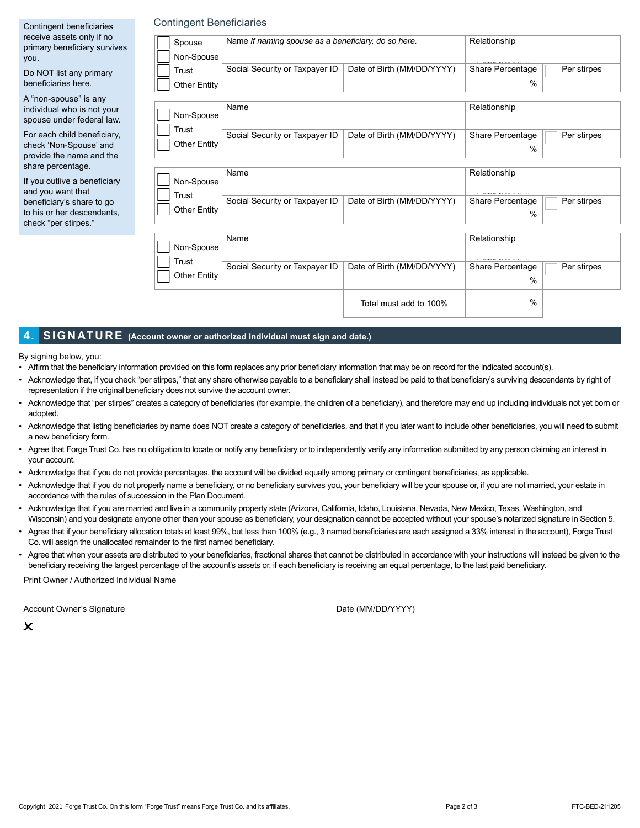| Contingent beneficiaries                                                          | <b>Contingent Beneficiaries</b> |                                                     |                            |                          |             |
|-----------------------------------------------------------------------------------|---------------------------------|-----------------------------------------------------|----------------------------|--------------------------|-------------|
| receive assets only if no<br>primary beneficiary survives<br>you.                 | Spouse<br>Non-Spouse            | Name If naming spouse as a beneficiary, do so here. |                            | Relationship             |             |
| Do NOT list any primary<br>beneficiaries here.                                    | Trust<br><b>Other Entity</b>    | Social Security or Taxpayer ID                      | Date of Birth (MM/DD/YYYY) | Share Percentage<br>$\%$ | Per stirpes |
| A "non-spouse" is any<br>individual who is not your<br>spouse under federal law.  | Non-Spouse                      | Name                                                |                            | Relationship             |             |
| For each child beneficiary,<br>check 'Non-Spouse' and<br>provide the name and the | Trust<br>Other Entity           | Social Security or Taxpayer ID                      | Date of Birth (MM/DD/YYYY) | Share Percentage<br>$\%$ | Per stirpes |
| share percentage.<br>If you outlive a beneficiary<br>and you want that            | Non-Spouse                      | Name                                                |                            | Relationship             |             |
| beneficiary's share to go<br>to his or her descendants.<br>check "per stirpes."   | Trust<br>Other Entity           | Social Security or Taxpayer ID                      | Date of Birth (MM/DD/YYYY) | Share Percentage<br>$\%$ | Per stirpes |
|                                                                                   | Non-Spouse                      | Name                                                |                            | Relationship             |             |

Social Security or Taxpayer ID | Date of Birth (MM/DD/YYYY) Share Percentage Per stirpes

%

Share Percentage

%

Total must add to 100%

#### **4. SIGNATURE (Account owner or authorized individual must sign and date.)**

Trust Other Entity

By signing below, you:

- Affirm that the beneficiary information provided on this form replaces any prior beneficiary information that may be on record for the indicated account(s).
- Acknowledge that, if you check "per stirpes," that any share otherwise payable to a beneficiary shall instead be paid to that beneficiary's surviving descendants by right of representation if the original beneficiary does not survive the account owner.
- Acknowledge that "per stirpes" creates a category of beneficiaries (for example, the children of a beneficiary), and therefore may end up including individuals not yet born or adopted.
- Acknowledge that listing beneficiaries by name does NOT create a category of beneficiaries, and that if you later want to include other beneficiaries, you will need to submit a new beneficiary form.
- Agree that Forge Trust Co. has no obligation to locate or notify any beneficiary or to independently verify any information submitted by any person claiming an interest in your account.
- Acknowledge that if you do not provide percentages, the account will be divided equally among primary or contingent beneficiaries, as applicable.
- Acknowledge that if you do not properly name a beneficiary, or no beneficiary survives you, your beneficiary will be your spouse or, if you are not married, your estate in accordance with the rules of succession in the Plan Document.
- Acknowledge that if you are married and live in a community property state (Arizona, California, Idaho, Louisiana, Nevada, New Mexico, Texas, Washington, and Wisconsin) and you designate anyone other than your spouse as beneficiary, your designation cannot be accepted without your spouse's notarized signature in Section 5.
- Agree that if your beneficiary allocation totals at least 99%, but less than 100% (e.g., 3 named beneficiaries are each assigned a 33% interest in the account), Forge Trust Co. will assign the unallocated remainder to the first named beneficiary.
- Agree that when your assets are distributed to your beneficiaries, fractional shares that cannot be distributed in accordance with your instructions will instead be given to the beneficiary receiving the largest percentage of the account's assets or, if each beneficiary is receiving an equal percentage, to the last paid beneficiary.

| Print Owner / Authorized Individual Name |                   |
|------------------------------------------|-------------------|
| Account Owner's Signature                | Date (MM/DD/YYYY) |
|                                          |                   |
|                                          |                   |